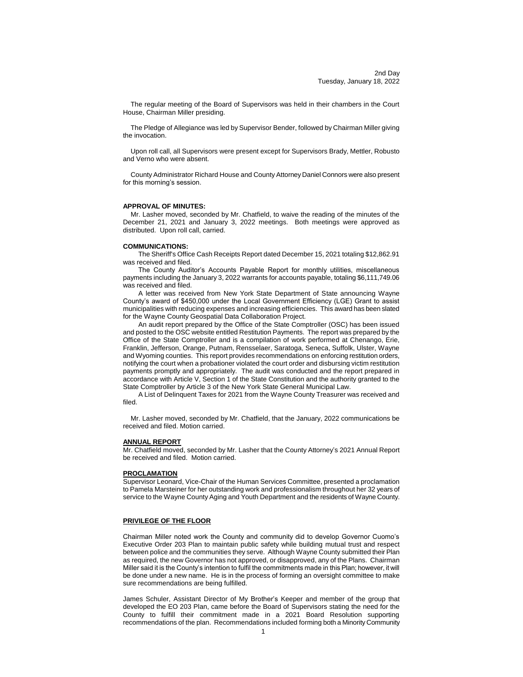The regular meeting of the Board of Supervisors was held in their chambers in the Court House, Chairman Miller presiding.

The Pledge of Allegiance was led by Supervisor Bender, followed by Chairman Miller giving the invocation.

Upon roll call, all Supervisors were present except for Supervisors Brady, Mettler, Robusto and Verno who were absent.

County Administrator Richard House and County Attorney Daniel Connors were also present for this morning's session.

#### **APPROVAL OF MINUTES:**

Mr. Lasher moved, seconded by Mr. Chatfield, to waive the reading of the minutes of the December 21, 2021 and January 3, 2022 meetings. Both meetings were approved as distributed. Upon roll call, carried.

#### **COMMUNICATIONS:**

The Sheriff's Office Cash Receipts Report dated December 15, 2021 totaling \$12,862.91 was received and filed.

The County Auditor's Accounts Payable Report for monthly utilities, miscellaneous payments including the January 3, 2022 warrants for accounts payable, totaling \$6,111,749.06 was received and filed.

A letter was received from New York State Department of State announcing Wayne County's award of \$450,000 under the Local Government Efficiency (LGE) Grant to assist municipalities with reducing expenses and increasing efficiencies. This award has been slated for the Wayne County Geospatial Data Collaboration Project.

An audit report prepared by the Office of the State Comptroller (OSC) has been issued and posted to the OSC website entitled Restitution Payments. The report was prepared by the Office of the State Comptroller and is a compilation of work performed at Chenango, Erie, Franklin, Jefferson, Orange, Putnam, Rensselaer, Saratoga, Seneca, Suffolk, Ulster, Wayne and Wyoming counties. This report provides recommendations on enforcing restitution orders, notifying the court when a probationer violated the court order and disbursing victim restitution payments promptly and appropriately. The audit was conducted and the report prepared in accordance with Article V, Section 1 of the State Constitution and the authority granted to the State Comptroller by Article 3 of the New York State General Municipal Law.

A List of Delinquent Taxes for 2021 from the Wayne County Treasurer was received and filed.

Mr. Lasher moved, seconded by Mr. Chatfield, that the January, 2022 communications be received and filed. Motion carried.

## **ANNUAL REPORT**

Mr. Chatfield moved, seconded by Mr. Lasher that the County Attorney's 2021 Annual Report be received and filed. Motion carried.

### **PROCLAMATION**

Supervisor Leonard, Vice-Chair of the Human Services Committee, presented a proclamation to Pamela Marsteiner for her outstanding work and professionalism throughout her 32 years of service to the Wayne County Aging and Youth Department and the residents of Wayne County.

### **PRIVILEGE OF THE FLOOR**

Chairman Miller noted work the County and community did to develop Governor Cuomo's Executive Order 203 Plan to maintain public safety while building mutual trust and respect between police and the communities they serve. Although Wayne County submitted their Plan as required, the new Governor has not approved, or disapproved, any of the Plans. Chairman Miller said it is the County's intention to fulfil the commitments made in this Plan; however, it will be done under a new name. He is in the process of forming an oversight committee to make sure recommendations are being fulfilled.

James Schuler, Assistant Director of My Brother's Keeper and member of the group that developed the EO 203 Plan, came before the Board of Supervisors stating the need for the County to fulfill their commitment made in a 2021 Board Resolution supporting recommendations of the plan. Recommendations included forming both a Minority Community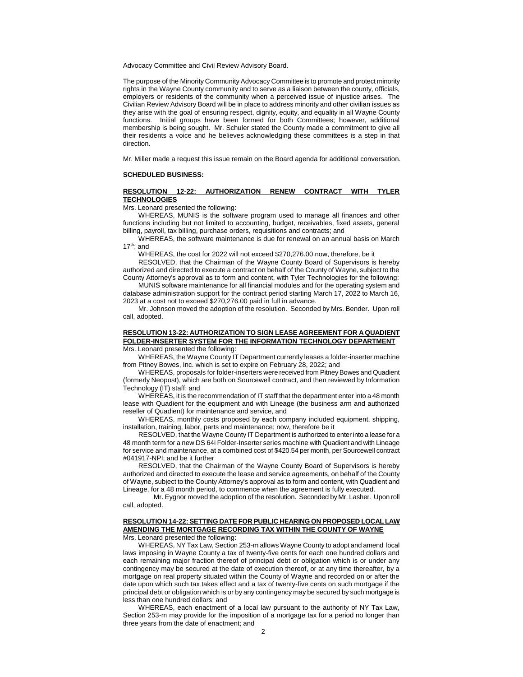Advocacy Committee and Civil Review Advisory Board.

The purpose of the Minority Community Advocacy Committee is to promote and protect minority rights in the Wayne County community and to serve as a liaison between the county, officials, employers or residents of the community when a perceived issue of injustice arises. The Civilian Review Advisory Board will be in place to address minority and other civilian issues as they arise with the goal of ensuring respect, dignity, equity, and equality in all Wayne County functions. Initial groups have been formed for both Committees; however, additional membership is being sought. Mr. Schuler stated the County made a commitment to give all their residents a voice and he believes acknowledging these committees is a step in that direction.

Mr. Miller made a request this issue remain on the Board agenda for additional conversation.

#### **SCHEDULED BUSINESS:**

### **RESOLUTION 12-22: AUTHORIZATION RENEW CONTRACT WITH TYLER TECHNOLOGIES**

Mrs. Leonard presented the following:

WHEREAS, MUNIS is the software program used to manage all finances and other functions including but not limited to accounting, budget, receivables, fixed assets, general billing, payroll, tax billing, purchase orders, requisitions and contracts; and

WHEREAS, the software maintenance is due for renewal on an annual basis on March  $17<sup>th</sup>$ ; and

WHEREAS, the cost for 2022 will not exceed \$270,276.00 now, therefore, be it

RESOLVED, that the Chairman of the Wayne County Board of Supervisors is hereby authorized and directed to execute a contract on behalf of the County of Wayne, subject to the County Attorney's approval as to form and content, with Tyler Technologies for the following:

MUNIS software maintenance for all financial modules and for the operating system and database administration support for the contract period starting March 17, 2022 to March 16, 2023 at a cost not to exceed \$270,276.00 paid in full in advance.

Mr. Johnson moved the adoption of the resolution. Seconded by Mrs. Bender. Upon roll call, adopted.

## **RESOLUTION 13-22: AUTHORIZATION TO SIGN LEASE AGREEMENT FOR A QUADIENT FOLDER-INSERTER SYSTEM FOR THE INFORMATION TECHNOLOGY DEPARTMENT** Mrs. Leonard presented the following:

WHEREAS, the Wayne County IT Department currently leases a folder-inserter machine from Pitney Bowes, Inc. which is set to expire on February 28, 2022; and

WHEREAS, proposals for folder-inserters were received from Pitney Bowes and Quadient (formerly Neopost), which are both on Sourcewell contract, and then reviewed by Information Technology (IT) staff; and

WHEREAS, it is the recommendation of IT staff that the department enter into a 48 month lease with Quadient for the equipment and with Lineage (the business arm and authorized reseller of Quadient) for maintenance and service, and

WHEREAS, monthly costs proposed by each company included equipment, shipping, installation, training, labor, parts and maintenance; now, therefore be it

RESOLVED, that the Wayne County IT Department is authorized to enter into a lease for a 48 month term for a new DS 64i Folder-Inserter series machine with Quadient and with Lineage for service and maintenance, at a combined cost of \$420.54 per month, per Sourcewell contract #041917-NPI; and be it further

RESOLVED, that the Chairman of the Wayne County Board of Supervisors is hereby authorized and directed to execute the lease and service agreements, on behalf of the County of Wayne, subject to the County Attorney's approval as to form and content, with Quadient and Lineage, for a 48 month period, to commence when the agreement is fully executed.

Mr. Eygnor moved the adoption of the resolution. Seconded by Mr. Lasher. Upon roll call, adopted.

# **RESOLUTION 14-22: SETTING DATE FOR PUBLIC HEARING ON PROPOSED LOCAL LAW AMENDING THE MORTGAGE RECORDING TAX WITHIN THE COUNTY OF WAYNE**

Mrs. Leonard presented the following:

WHEREAS, NY Tax Law, Section 253-m allows Wayne County to adopt and amend local laws imposing in Wayne County a tax of twenty-five cents for each one hundred dollars and each remaining major fraction thereof of principal debt or obligation which is or under any contingency may be secured at the date of execution thereof, or at any time thereafter, by a mortgage on real property situated within the County of Wayne and recorded on or after the date upon which such tax takes effect and a tax of twenty-five cents on such mortgage if the principal debt or obligation which is or by any contingency may be secured by such mortgage is less than one hundred dollars; and

WHEREAS, each enactment of a local law pursuant to the authority of NY Tax Law, Section 253-m may provide for the imposition of a mortgage tax for a period no longer than three years from the date of enactment; and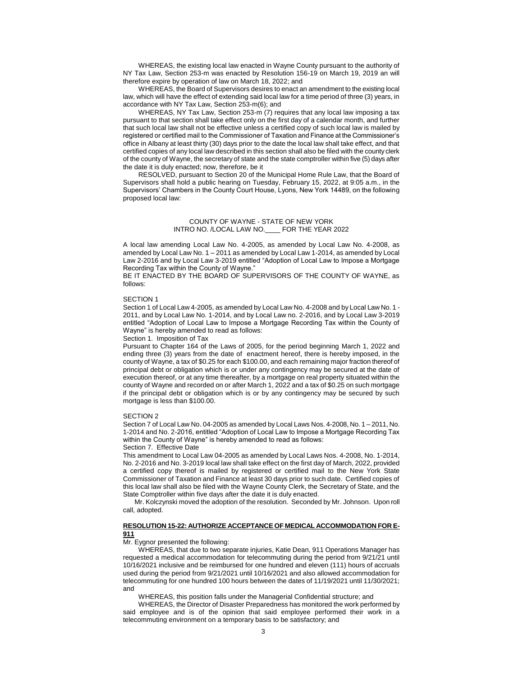WHEREAS, the existing local law enacted in Wayne County pursuant to the authority of NY Tax Law, Section 253-m was enacted by Resolution 156-19 on March 19, 2019 an will therefore expire by operation of law on March 18, 2022; and

WHEREAS, the Board of Supervisors desires to enact an amendment to the existing local law, which will have the effect of extending said local law for a time period of three (3) years, in accordance with NY Tax Law, Section 253-m(6); and

WHEREAS, NY Tax Law, Section 253-m (7) requires that any local law imposing a tax pursuant to that section shall take effect only on the first day of a calendar month, and further that such local law shall not be effective unless a certified copy of such local law is mailed by registered or certified mail to the Commissioner of Taxation and Finance at the Commissioner's office in Albany at least thirty (30) days prior to the date the local law shall take effect, and that certified copies of any local law described in this section shall also be filed with the county clerk of the county of Wayne, the secretary of state and the state comptroller within five (5) days after the date it is duly enacted; now, therefore, be it

RESOLVED, pursuant to Section 20 of the Municipal Home Rule Law, that the Board of Supervisors shall hold a public hearing on Tuesday, February 15, 2022, at 9:05 a.m., in the Supervisors' Chambers in the County Court House, Lyons, New York 14489, on the following proposed local law:

## COUNTY OF WAYNE - STATE OF NEW YORK INTRO NO. /LOCAL LAW NO.\_\_\_\_ FOR THE YEAR 2022

A local law amending Local Law No. 4-2005, as amended by Local Law No. 4-2008, as amended by Local Law No. 1 – 2011 as amended by Local Law 1-2014, as amended by Local Law 2-2016 and by Local Law 3-2019 entitled "Adoption of Local Law to Impose a Mortgage Recording Tax within the County of Wayne."

BE IT ENACTED BY THE BOARD OF SUPERVISORS OF THE COUNTY OF WAYNE, as follows:

#### SECTION 1

Section 1 of Local Law 4-2005, as amended by Local Law No. 4-2008 and by Local Law No. 1 - 2011, and by Local Law No. 1-2014, and by Local Law no. 2-2016, and by Local Law 3-2019 entitled "Adoption of Local Law to Impose a Mortgage Recording Tax within the County of Wayne" is hereby amended to read as follows:

#### Section 1. Imposition of Tax

Pursuant to Chapter 164 of the Laws of 2005, for the period beginning March 1, 2022 and ending three (3) years from the date of enactment hereof, there is hereby imposed, in the county of Wayne, a tax of \$0.25 for each \$100.00, and each remaining major fraction thereof of principal debt or obligation which is or under any contingency may be secured at the date of execution thereof, or at any time thereafter, by a mortgage on real property situated within the county of Wayne and recorded on or after March 1, 2022 and a tax of \$0.25 on such mortgage if the principal debt or obligation which is or by any contingency may be secured by such mortgage is less than \$100.00.

#### SECTION 2

Section 7 of Local Law No. 04-2005 as amended by Local Laws Nos. 4-2008, No. 1 – 2011, No. 1-2014 and No. 2-2016, entitled "Adoption of Local Law to Impose a Mortgage Recording Tax within the County of Wayne" is hereby amended to read as follows:

## Section 7. Effective Date

This amendment to Local Law 04-2005 as amended by Local Laws Nos. 4-2008, No. 1-2014, No. 2-2016 and No. 3-2019 local law shall take effect on the first day of March, 2022, provided a certified copy thereof is mailed by registered or certified mail to the New York State Commissioner of Taxation and Finance at least 30 days prior to such date. Certified copies of this local law shall also be filed with the Wayne County Clerk, the Secretary of State, and the State Comptroller within five days after the date it is duly enacted.

Mr. Kolczynski moved the adoption of the resolution. Seconded by Mr. Johnson. Upon roll call, adopted.

## **RESOLUTION 15-22: AUTHORIZE ACCEPTANCE OF MEDICAL ACCOMMODATION FOR E-911**

### Mr. Eygnor presented the following:

WHEREAS, that due to two separate injuries, Katie Dean, 911 Operations Manager has requested a medical accommodation for telecommuting during the period from 9/21/21 until 10/16/2021 inclusive and be reimbursed for one hundred and eleven (111) hours of accruals used during the period from 9/21/2021 until 10/16/2021 and also allowed accommodation for telecommuting for one hundred 100 hours between the dates of 11/19/2021 until 11/30/2021; and

WHEREAS, this position falls under the Managerial Confidential structure; and

WHEREAS, the Director of Disaster Preparedness has monitored the work performed by said employee and is of the opinion that said employee performed their work in a telecommuting environment on a temporary basis to be satisfactory; and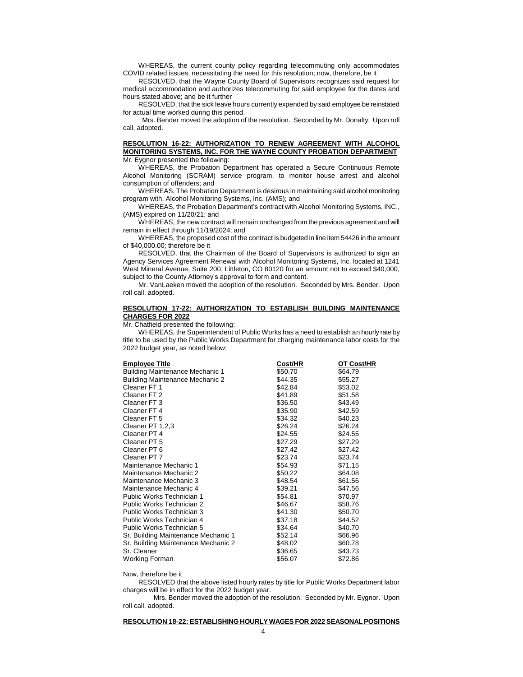WHEREAS, the current county policy regarding telecommuting only accommodates COVID related issues, necessitating the need for this resolution; now, therefore, be it

RESOLVED, that the Wayne County Board of Supervisors recognizes said request for medical accommodation and authorizes telecommuting for said employee for the dates and hours stated above; and be it further

RESOLVED, that the sick leave hours currently expended by said employee be reinstated for actual time worked during this period.

Mrs. Bender moved the adoption of the resolution. Seconded by Mr. Donalty. Upon roll call, adopted.

### **RESOLUTION 16-22: AUTHORIZATION TO RENEW AGREEMENT WITH ALCOHOL MONITORING SYSTEMS, INC. FOR THE WAYNE COUNTY PROBATION DEPARTMENT** Mr. Eygnor presented the following:

WHEREAS, the Probation Department has operated a Secure Continuous Remote Alcohol Monitoring (SCRAM) service program, to monitor house arrest and alcohol consumption of offenders; and

WHEREAS, The Probation Department is desirous in maintaining said alcohol monitoring program with, Alcohol Monitoring Systems, Inc. (AMS); and

WHEREAS, the Probation Department's contract with Alcohol Monitoring Systems, INC., (AMS) expired on 11/20/21; and

WHEREAS, the new contract will remain unchanged from the previous agreement and will remain in effect through 11/19/2024; and

WHEREAS, the proposed cost of the contract is budgeted in line item 54426 in the amount of \$40,000.00; therefore be it

RESOLVED, that the Chairman of the Board of Supervisors is authorized to sign an Agency Services Agreement Renewal with Alcohol Monitoring Systems, Inc. located at 1241 West Mineral Avenue, Suite 200, Littleton, CO 80120 for an amount not to exceed \$40,000, subject to the County Attorney's approval to form and content.

Mr. VanLaeken moved the adoption of the resolution. Seconded by Mrs. Bender. Upon roll call, adopted.

#### **RESOLUTION 17-22: AUTHORIZATION TO ESTABLISH BUILDING MAINTENANCE CHARGES FOR 2022**

Mr. Chatfield presented the following:

WHEREAS, the Superintendent of Public Works has a need to establish an hourly rate by title to be used by the Public Works Department for charging maintenance labor costs for the 2022 budget year, as noted below:

| Cost/HR | OT Cost/HR |
|---------|------------|
| \$50.70 | \$64.79    |
| \$44.35 | \$55.27    |
| \$42.84 | \$53.02    |
| \$41.89 | \$51.58    |
| \$36.50 | \$43.49    |
| \$35.90 | \$42.59    |
| \$34.32 | \$40.23    |
| \$26.24 | \$26.24    |
| \$24.55 | \$24.55    |
| \$27.29 | \$27.29    |
| \$27.42 | \$27.42    |
| \$23.74 | \$23.74    |
| \$54.93 | \$71.15    |
| \$50.22 | \$64.08    |
| \$48.54 | \$61.56    |
| \$39.21 | \$47.56    |
| \$54.81 | \$70.97    |
| \$46.67 | \$58.76    |
| \$41.30 | \$50.70    |
| \$37.18 | \$44.52    |
| \$34.64 | \$40.70    |
| \$52.14 | \$66.96    |
| \$48.02 | \$60.78    |
| \$36.65 | \$43.73    |
| \$56.07 | \$72.86    |
|         |            |

Now, therefore be it

RESOLVED that the above listed hourly rates by title for Public Works Department labor charges will be in effect for the 2022 budget year.

Mrs. Bender moved the adoption of the resolution. Seconded by Mr. Eygnor. Upon roll call, adopted.

# **RESOLUTION 18-22: ESTABLISHING HOURLY WAGES FOR 2022 SEASONAL POSITIONS**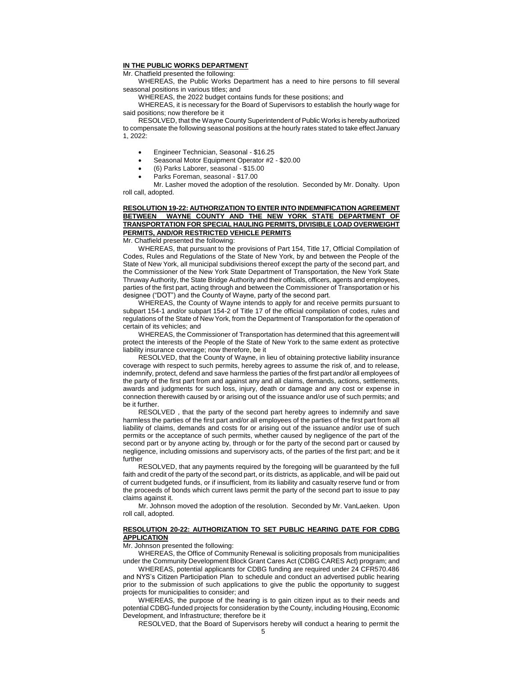## **IN THE PUBLIC WORKS DEPARTMENT**

Mr. Chatfield presented the following:

WHEREAS, the Public Works Department has a need to hire persons to fill several seasonal positions in various titles; and

WHEREAS, the 2022 budget contains funds for these positions; and

WHEREAS, it is necessary for the Board of Supervisors to establish the hourly wage for said positions; now therefore be it

RESOLVED, that the Wayne County Superintendent of Public Works is hereby authorized to compensate the following seasonal positions at the hourly rates stated to take effect January 1, 2022:

- Engineer Technician, Seasonal \$16.25
- Seasonal Motor Equipment Operator #2 \$20.00
- (6) Parks Laborer, seasonal \$15.00
- Parks Foreman, seasonal \$17.00

Mr. Lasher moved the adoption of the resolution. Seconded by Mr. Donalty. Upon roll call, adopted.

## **RESOLUTION 19-22: AUTHORIZATION TO ENTER INTO INDEMNIFICATION AGREEMENT BETWEEN WAYNE COUNTY AND THE NEW YORK STATE DEPARTMENT OF TRANSPORTATION FOR SPECIAL HAULING PERMITS, DIVISIBLE LOAD OVERWEIGHT PERMITS, AND/OR RESTRICTED VEHICLE PERMITS**

Mr. Chatfield presented the following:

WHEREAS, that pursuant to the provisions of Part 154, Title 17, Official Compilation of Codes, Rules and Regulations of the State of New York, by and between the People of the State of New York, all municipal subdivisions thereof except the party of the second part, and the Commissioner of the New York State Department of Transportation, the New York State Thruway Authority, the State Bridge Authority and their officials, officers, agents and employees, parties of the first part, acting through and between the Commissioner of Transportation or his designee ("DOT") and the County of Wayne, party of the second part.

WHEREAS, the County of Wayne intends to apply for and receive permits pursuant to subpart 154-1 and/or subpart 154-2 of Title 17 of the official compilation of codes, rules and regulations of the State of New York, from the Department of Transportation for the operation of certain of its vehicles; and

WHEREAS, the Commissioner of Transportation has determined that this agreement will protect the interests of the People of the State of New York to the same extent as protective liability insurance coverage; now therefore, be it

RESOLVED, that the County of Wayne, in lieu of obtaining protective liability insurance coverage with respect to such permits, hereby agrees to assume the risk of, and to release, indemnify, protect, defend and save harmless the parties of the first part and/or all employees of the party of the first part from and against any and all claims, demands, actions, settlements, awards and judgments for such loss, injury, death or damage and any cost or expense in connection therewith caused by or arising out of the issuance and/or use of such permits; and be it further.

RESOLVED , that the party of the second part hereby agrees to indemnify and save harmless the parties of the first part and/or all employees of the parties of the first part from all liability of claims, demands and costs for or arising out of the issuance and/or use of such permits or the acceptance of such permits, whether caused by negligence of the part of the second part or by anyone acting by, through or for the party of the second part or caused by negligence, including omissions and supervisory acts, of the parties of the first part; and be it further

RESOLVED, that any payments required by the foregoing will be guaranteed by the full faith and credit of the party of the second part, or its districts, as applicable, and will be paid out of current budgeted funds, or if insufficient, from its liability and casualty reserve fund or from the proceeds of bonds which current laws permit the party of the second part to issue to pay claims against it.

Mr. Johnson moved the adoption of the resolution. Seconded by Mr. VanLaeken. Upon roll call, adopted.

### **RESOLUTION 20-22: AUTHORIZATION TO SET PUBLIC HEARING DATE FOR CDBG APPLICATION**

Mr. Johnson presented the following:

WHEREAS, the Office of Community Renewal is soliciting proposals from municipalities under the Community Development Block Grant Cares Act (CDBG CARES Act) program; and

WHEREAS, potential applicants for CDBG funding are required under 24 CFR570.486 and NYS's Citizen Participation Plan to schedule and conduct an advertised public hearing prior to the submission of such applications to give the public the opportunity to suggest projects for municipalities to consider; and

WHEREAS, the purpose of the hearing is to gain citizen input as to their needs and potential CDBG-funded projects for consideration by the County, including Housing, Economic Development, and Infrastructure; therefore be it

RESOLVED, that the Board of Supervisors hereby will conduct a hearing to permit the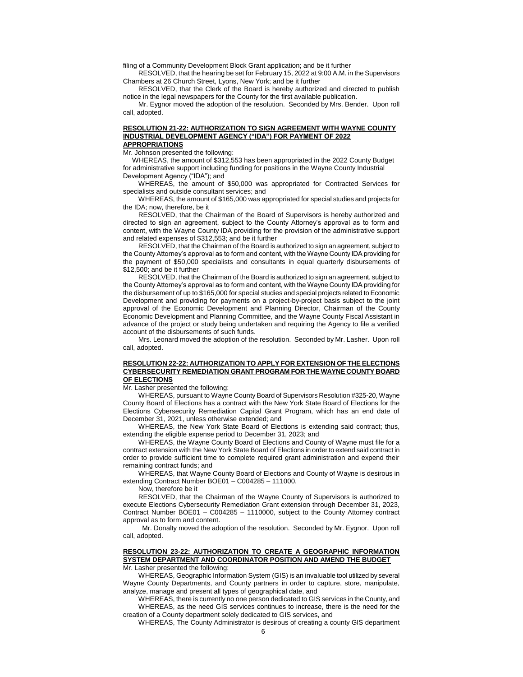filing of a Community Development Block Grant application; and be it further

RESOLVED, that the hearing be set for February 15, 2022 at 9:00 A.M. in the Supervisors Chambers at 26 Church Street, Lyons, New York; and be it further

RESOLVED, that the Clerk of the Board is hereby authorized and directed to publish notice in the legal newspapers for the County for the first available publication.

Mr. Eygnor moved the adoption of the resolution. Seconded by Mrs. Bender. Upon roll call, adopted.

#### **RESOLUTION 21-22: AUTHORIZATION TO SIGN AGREEMENT WITH WAYNE COUNTY INDUSTRIAL DEVELOPMENT AGENCY ("IDA") FOR PAYMENT OF 2022 APPROPRIATIONS**

Mr. Johnson presented the following:

 WHEREAS, the amount of \$312,553 has been appropriated in the 2022 County Budget for administrative support including funding for positions in the Wayne County Industrial Development Agency ("IDA"); and

WHEREAS, the amount of \$50,000 was appropriated for Contracted Services for specialists and outside consultant services; and

WHEREAS, the amount of \$165,000 was appropriated for special studies and projects for the IDA; now, therefore, be it

RESOLVED, that the Chairman of the Board of Supervisors is hereby authorized and directed to sign an agreement, subject to the County Attorney's approval as to form and content, with the Wayne County IDA providing for the provision of the administrative support and related expenses of \$312,553; and be it further

RESOLVED, that the Chairman of the Board is authorized to sign an agreement, subject to the County Attorney's approval as to form and content, with the Wayne County IDA providing for the payment of \$50,000 specialists and consultants in equal quarterly disbursements of \$12,500; and be it further

RESOLVED, that the Chairman of the Board is authorized to sign an agreement, subject to the County Attorney's approval as to form and content, with the Wayne County IDA providing for the disbursement of up to \$165,000 for special studies and special projects related to Economic Development and providing for payments on a project-by-project basis subject to the joint approval of the Economic Development and Planning Director, Chairman of the County Economic Development and Planning Committee, and the Wayne County Fiscal Assistant in advance of the project or study being undertaken and requiring the Agency to file a verified account of the disbursements of such funds.

Mrs. Leonard moved the adoption of the resolution. Seconded by Mr. Lasher. Upon roll call, adopted.

## **RESOLUTION 22-22: AUTHORIZATION TO APPLY FOR EXTENSION OF THE ELECTIONS CYBERSECURITY REMEDIATION GRANT PROGRAM FOR THE WAYNE COUNTY BOARD OF ELECTIONS**

Mr. Lasher presented the following:

WHEREAS, pursuant to Wayne County Board of Supervisors Resolution #325-20, Wayne County Board of Elections has a contract with the New York State Board of Elections for the Elections Cybersecurity Remediation Capital Grant Program, which has an end date of December 31, 2021, unless otherwise extended; and

WHEREAS, the New York State Board of Elections is extending said contract; thus, extending the eligible expense period to December 31, 2023; and

WHEREAS, the Wayne County Board of Elections and County of Wayne must file for a contract extension with the New York State Board of Elections in order to extend said contract in order to provide sufficient time to complete required grant administration and expend their remaining contract funds; and

WHEREAS, that Wayne County Board of Elections and County of Wayne is desirous in extending Contract Number BOE01 – C004285 – 111000.

Now, therefore be it

RESOLVED, that the Chairman of the Wayne County of Supervisors is authorized to execute Elections Cybersecurity Remediation Grant extension through December 31, 2023, Contract Number BOE01 – C004285 – 1110000, subject to the County Attorney contract approval as to form and content.

Mr. Donalty moved the adoption of the resolution. Seconded by Mr. Eygnor. Upon roll call, adopted.

#### **RESOLUTION 23-22: AUTHORIZATION TO CREATE A GEOGRAPHIC INFORMATION SYSTEM DEPARTMENT AND COORDINATOR POSITION AND AMEND THE BUDGET** Mr. Lasher presented the following:

WHEREAS, Geographic Information System (GIS) is an invaluable tool utilized by several Wayne County Departments, and County partners in order to capture, store, manipulate, analyze, manage and present all types of geographical date, and

WHEREAS, there is currently no one person dedicated to GIS services in the County, and WHEREAS, as the need GIS services continues to increase, there is the need for the creation of a County department solely dedicated to GIS services, and

WHEREAS, The County Administrator is desirous of creating a county GIS department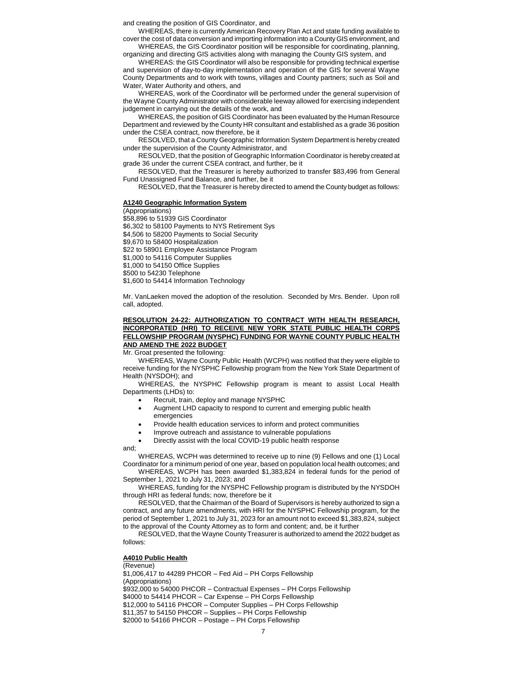and creating the position of GIS Coordinator, and

WHEREAS, there is currently American Recovery Plan Act and state funding available to cover the cost of data conversion and importing information into a County GIS environment, and

WHEREAS, the GIS Coordinator position will be responsible for coordinating, planning, organizing and directing GIS activities along with managing the County GIS system, and

WHEREAS: the GIS Coordinator will also be responsible for providing technical expertise and supervision of day-to-day implementation and operation of the GIS for several Wayne County Departments and to work with towns, villages and County partners; such as Soil and Water, Water Authority and others, and

WHEREAS, work of the Coordinator will be performed under the general supervision of the Wayne County Administrator with considerable leeway allowed for exercising independent judgement in carrying out the details of the work, and

WHEREAS, the position of GIS Coordinator has been evaluated by the Human Resource Department and reviewed by the County HR consultant and established as a grade 36 position under the CSEA contract, now therefore, be it

RESOLVED, that a County Geographic Information System Department is hereby created under the supervision of the County Administrator, and

RESOLVED, that the position of Geographic Information Coordinator is hereby created at grade 36 under the current CSEA contract, and further, be it

RESOLVED, that the Treasurer is hereby authorized to transfer \$83,496 from General Fund Unassigned Fund Balance, and further, be it

RESOLVED, that the Treasurer is hereby directed to amend the County budget as follows:

#### **A1240 Geographic Information System**

(Appropriations)

\$58,896 to 51939 GIS Coordinator

\$6,302 to 58100 Payments to NYS Retirement Sys

\$4,506 to 58200 Payments to Social Security

\$9,670 to 58400 Hospitalization

\$22 to 58901 Employee Assistance Program

\$1,000 to 54116 Computer Supplies

\$1,000 to 54150 Office Supplies

\$500 to 54230 Telephone

\$1,600 to 54414 Information Technology

Mr. VanLaeken moved the adoption of the resolution. Seconded by Mrs. Bender. Upon roll call, adopted.

## **RESOLUTION 24-22: AUTHORIZATION TO CONTRACT WITH HEALTH RESEARCH, INCORPORATED (HRI) TO RECEIVE NEW YORK STATE PUBLIC HEALTH CORPS FELLOWSHIP PROGRAM (NYSPHC) FUNDING FOR WAYNE COUNTY PUBLIC HEALTH AND AMEND THE 2022 BUDGET**

Mr. Groat presented the following:

WHEREAS, Wayne County Public Health (WCPH) was notified that they were eligible to receive funding for the NYSPHC Fellowship program from the New York State Department of Health (NYSDOH); and

WHEREAS, the NYSPHC Fellowship program is meant to assist Local Health Departments (LHDs) to:

Recruit, train, deploy and manage NYSPHC

- Augment LHD capacity to respond to current and emerging public health emergencies
- Provide health education services to inform and protect communities
- Improve outreach and assistance to vulnerable populations
- Directly assist with the local COVID-19 public health response

and;

WHEREAS, WCPH was determined to receive up to nine (9) Fellows and one (1) Local Coordinator for a minimum period of one year, based on population local health outcomes; and

WHEREAS, WCPH has been awarded \$1,383,824 in federal funds for the period of September 1, 2021 to July 31, 2023; and

WHEREAS, funding for the NYSPHC Fellowship program is distributed by the NYSDOH through HRI as federal funds; now, therefore be it

RESOLVED, that the Chairman of the Board of Supervisors is hereby authorized to sign a contract, and any future amendments, with HRI for the NYSPHC Fellowship program, for the period of September 1, 2021 to July 31, 2023 for an amount not to exceed \$1,383,824, subject to the approval of the County Attorney as to form and content; and, be it further

RESOLVED, that the Wayne County Treasurer is authorized to amend the 2022 budget as follows:

## **A4010 Public Health**

(Revenue) \$1,006,417 to 44289 PHCOR – Fed Aid – PH Corps Fellowship (Appropriations) \$932,000 to 54000 PHCOR – Contractual Expenses – PH Corps Fellowship \$4000 to 54414 PHCOR – Car Expense – PH Corps Fellowship \$12,000 to 54116 PHCOR – Computer Supplies – PH Corps Fellowship \$11,357 to 54150 PHCOR – Supplies – PH Corps Fellowship \$2000 to 54166 PHCOR – Postage – PH Corps Fellowship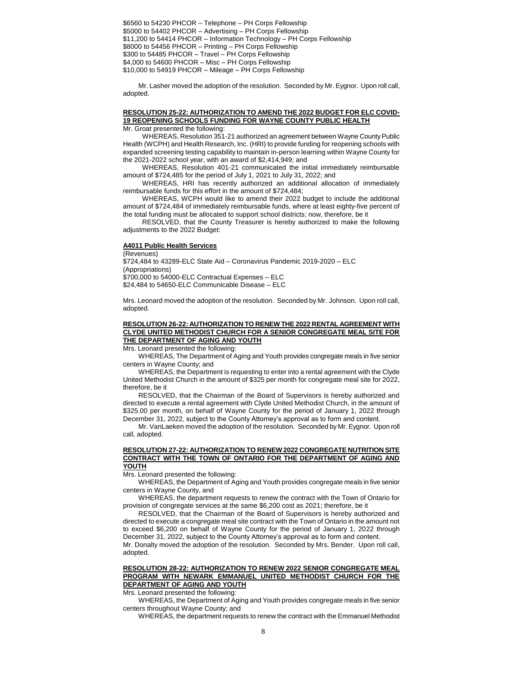\$6560 to 54230 PHCOR – Telephone – PH Corps Fellowship \$5000 to 54402 PHCOR – Advertising – PH Corps Fellowship \$11,200 to 54414 PHCOR – Information Technology – PH Corps Fellowship \$8000 to 54456 PHCOR – Printing – PH Corps Fellowship \$300 to 54485 PHCOR – Travel – PH Corps Fellowship \$4,000 to 54600 PHCOR – Misc – PH Corps Fellowship \$10,000 to 54919 PHCOR – Mileage – PH Corps Fellowship

Mr. Lasher moved the adoption of the resolution. Seconded by Mr. Eygnor. Upon roll call, adopted.

#### **RESOLUTION 25-22: AUTHORIZATION TO AMEND THE 2022 BUDGET FOR ELC COVID-19 REOPENING SCHOOLS FUNDING FOR WAYNE COUNTY PUBLIC HEALTH** Mr. Groat presented the following:

WHEREAS, Resolution 351-21 authorized an agreement between Wayne County Public Health (WCPH) and Health Research, Inc. (HRI) to provide funding for reopening schools with expanded screening testing capability to maintain in-person learning within Wayne County for the 2021-2022 school year, with an award of \$2,414,949; and

WHEREAS, Resolution 401-21 communicated the initial immediately reimbursable amount of \$724,485 for the period of July 1, 2021 to July 31, 2022; and

WHEREAS, HRI has recently authorized an additional allocation of immediately reimbursable funds for this effort in the amount of \$724,484;

WHEREAS, WCPH would like to amend their 2022 budget to include the additional amount of \$724,484 of immediately reimbursable funds, where at least eighty-five percent of the total funding must be allocated to support school districts; now, therefore, be it

RESOLVED, that the County Treasurer is hereby authorized to make the following adjustments to the 2022 Budget:

### **A4011 Public Health Services**

(Revenues) \$724,484 to 43289-ELC State Aid – Coronavirus Pandemic 2019-2020 – ELC (Appropriations) \$700,000 to 54000-ELC Contractual Expenses – ELC \$24,484 to 54650-ELC Communicable Disease – ELC

Mrs. Leonard moved the adoption of the resolution. Seconded by Mr. Johnson. Upon roll call, adopted.

### **RESOLUTION 26-22: AUTHORIZATION TO RENEW THE 2022 RENTAL AGREEMENT WITH CLYDE UNITED METHODIST CHURCH FOR A SENIOR CONGREGATE MEAL SITE FOR THE DEPARTMENT OF AGING AND YOUTH**

Mrs. Leonard presented the following:

WHEREAS, The Department of Aging and Youth provides congregate meals in five senior centers in Wayne County; and

WHEREAS, the Department is requesting to enter into a rental agreement with the Clyde United Methodist Church in the amount of \$325 per month for congregate meal site for 2022, therefore, be it

RESOLVED, that the Chairman of the Board of Supervisors is hereby authorized and directed to execute a rental agreement with Clyde United Methodist Church, in the amount of \$325.00 per month, on behalf of Wayne County for the period of January 1, 2022 through December 31, 2022, subject to the County Attorney's approval as to form and content.

Mr. VanLaeken moved the adoption of the resolution. Seconded by Mr. Eygnor. Upon roll call, adopted.

### **RESOLUTION 27-22: AUTHORIZATION TO RENEW 2022 CONGREGATE NUTRITION SITE CONTRACT WITH THE TOWN OF ONTARIO FOR THE DEPARTMENT OF AGING AND YOUTH**

Mrs. Leonard presented the following:

WHEREAS, the Department of Aging and Youth provides congregate meals in five senior centers in Wayne County, and

WHEREAS, the department requests to renew the contract with the Town of Ontario for provision of congregate services at the same \$6,200 cost as 2021; therefore, be it

RESOLVED, that the Chairman of the Board of Supervisors is hereby authorized and directed to execute a congregate meal site contract with the Town of Ontario in the amount not to exceed \$6,200 on behalf of Wayne County for the period of January 1, 2022 through December 31, 2022, subject to the County Attorney's approval as to form and content.

Mr. Donalty moved the adoption of the resolution. Seconded by Mrs. Bender. Upon roll call, adopted.

# **RESOLUTION 28-22: AUTHORIZATION TO RENEW 2022 SENIOR CONGREGATE MEAL PROGRAM WITH NEWARK EMMANUEL UNITED METHODIST CHURCH FOR THE DEPARTMENT OF AGING AND YOUTH**

Mrs. Leonard presented the following:

WHEREAS, the Department of Aging and Youth provides congregate meals in five senior centers throughout Wayne County; and

WHEREAS, the department requests to renew the contract with the Emmanuel Methodist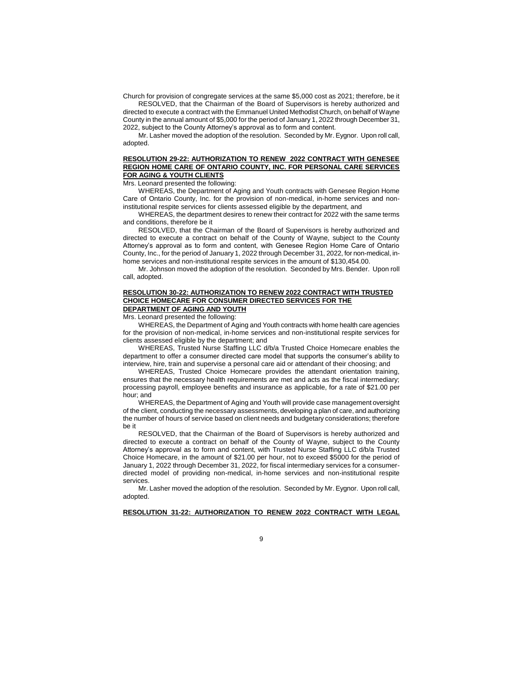Church for provision of congregate services at the same \$5,000 cost as 2021; therefore, be it RESOLVED, that the Chairman of the Board of Supervisors is hereby authorized and

directed to execute a contract with the Emmanuel United Methodist Church, on behalf of Wayne County in the annual amount of \$5,000 for the period of January 1, 2022 through December 31, 2022, subject to the County Attorney's approval as to form and content.

Mr. Lasher moved the adoption of the resolution. Seconded by Mr. Eygnor. Upon roll call, adopted.

### **RESOLUTION 29-22: AUTHORIZATION TO RENEW 2022 CONTRACT WITH GENESEE REGION HOME CARE OF ONTARIO COUNTY, INC. FOR PERSONAL CARE SERVICES FOR AGING & YOUTH CLIENTS**

Mrs. Leonard presented the following:

WHEREAS, the Department of Aging and Youth contracts with Genesee Region Home Care of Ontario County, Inc. for the provision of non-medical, in-home services and noninstitutional respite services for clients assessed eligible by the department, and

WHEREAS, the department desires to renew their contract for 2022 with the same terms and conditions, therefore be it

RESOLVED, that the Chairman of the Board of Supervisors is hereby authorized and directed to execute a contract on behalf of the County of Wayne, subject to the County Attorney's approval as to form and content, with Genesee Region Home Care of Ontario County, Inc., for the period of January 1, 2022 through December 31, 2022, for non-medical, inhome services and non-institutional respite services in the amount of \$130,454.00.

Mr. Johnson moved the adoption of the resolution. Seconded by Mrs. Bender. Upon roll call, adopted.

## **RESOLUTION 30-22: AUTHORIZATION TO RENEW 2022 CONTRACT WITH TRUSTED CHOICE HOMECARE FOR CONSUMER DIRECTED SERVICES FOR THE DEPARTMENT OF AGING AND YOUTH**

Mrs. Leonard presented the following:

WHEREAS, the Department of Aging and Youth contracts with home health care agencies for the provision of non-medical, in-home services and non-institutional respite services for clients assessed eligible by the department; and

WHEREAS, Trusted Nurse Staffing LLC d/b/a Trusted Choice Homecare enables the department to offer a consumer directed care model that supports the consumer's ability to interview, hire, train and supervise a personal care aid or attendant of their choosing; and

WHEREAS, Trusted Choice Homecare provides the attendant orientation training, ensures that the necessary health requirements are met and acts as the fiscal intermediary; processing payroll, employee benefits and insurance as applicable, for a rate of \$21.00 per hour; and

WHEREAS, the Department of Aging and Youth will provide case management oversight of the client, conducting the necessary assessments, developing a plan of care, and authorizing the number of hours of service based on client needs and budgetary considerations; therefore be it

RESOLVED, that the Chairman of the Board of Supervisors is hereby authorized and directed to execute a contract on behalf of the County of Wayne, subject to the County Attorney's approval as to form and content, with Trusted Nurse Staffing LLC d/b/a Trusted Choice Homecare, in the amount of \$21.00 per hour, not to exceed \$5000 for the period of January 1, 2022 through December 31, 2022, for fiscal intermediary services for a consumerdirected model of providing non-medical, in-home services and non-institutional respite services.

Mr. Lasher moved the adoption of the resolution. Seconded by Mr. Eygnor. Upon roll call, adopted.

**RESOLUTION 31-22: AUTHORIZATION TO RENEW 2022 CONTRACT WITH LEGAL**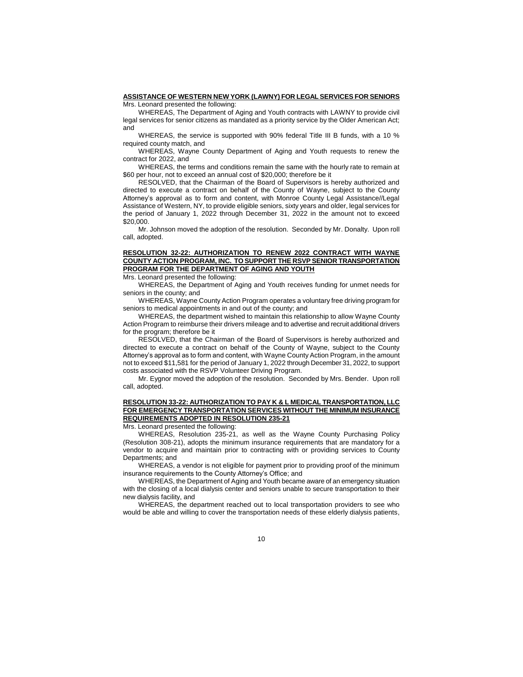#### **ASSISTANCE OF WESTERN NEW YORK (LAWNY) FOR LEGAL SERVICES FOR SENIORS**

Mrs. Leonard presented the following:

WHEREAS, The Department of Aging and Youth contracts with LAWNY to provide civil legal services for senior citizens as mandated as a priority service by the Older American Act; and

WHEREAS, the service is supported with 90% federal Title III B funds, with a 10 % required county match, and

WHEREAS, Wayne County Department of Aging and Youth requests to renew the contract for 2022, and

WHEREAS, the terms and conditions remain the same with the hourly rate to remain at \$60 per hour, not to exceed an annual cost of \$20,000; therefore be it

RESOLVED, that the Chairman of the Board of Supervisors is hereby authorized and directed to execute a contract on behalf of the County of Wayne, subject to the County Attorney's approval as to form and content, with Monroe County Legal Assistance//Legal Assistance of Western, NY, to provide eligible seniors, sixty years and older, legal services for the period of January 1, 2022 through December 31, 2022 in the amount not to exceed \$20,000.

Mr. Johnson moved the adoption of the resolution. Seconded by Mr. Donalty. Upon roll call, adopted.

# **RESOLUTION 32-22: AUTHORIZATION TO RENEW 2022 CONTRACT WITH WAYNE COUNTY ACTION PROGRAM, INC. TO SUPPORT THE RSVP SENIOR TRANSPORTATION PROGRAM FOR THE DEPARTMENT OF AGING AND YOUTH**

Mrs. Leonard presented the following:

WHEREAS, the Department of Aging and Youth receives funding for unmet needs for seniors in the county; and

WHEREAS, Wayne County Action Program operates a voluntary free driving program for seniors to medical appointments in and out of the county; and

WHEREAS, the department wished to maintain this relationship to allow Wayne County Action Program to reimburse their drivers mileage and to advertise and recruit additional drivers for the program; therefore be it

RESOLVED, that the Chairman of the Board of Supervisors is hereby authorized and directed to execute a contract on behalf of the County of Wayne, subject to the County Attorney's approval as to form and content, with Wayne County Action Program, in the amount not to exceed \$11,581 for the period of January 1, 2022 through December 31, 2022, to support costs associated with the RSVP Volunteer Driving Program.

Mr. Eygnor moved the adoption of the resolution. Seconded by Mrs. Bender. Upon roll call, adopted.

# **RESOLUTION 33-22: AUTHORIZATION TO PAY K & L MEDICAL TRANSPORTATION, LLC FOR EMERGENCY TRANSPORTATION SERVICES WITHOUT THE MINIMUM INSURANCE REQUIREMENTS ADOPTED IN RESOLUTION 235-21**

Mrs. Leonard presented the following:

WHEREAS, Resolution 235-21, as well as the Wayne County Purchasing Policy (Resolution 308-21), adopts the minimum insurance requirements that are mandatory for a vendor to acquire and maintain prior to contracting with or providing services to County Departments; and

WHEREAS, a vendor is not eligible for payment prior to providing proof of the minimum insurance requirements to the County Attorney's Office; and

WHEREAS, the Department of Aging and Youth became aware of an emergency situation with the closing of a local dialysis center and seniors unable to secure transportation to their new dialysis facility, and

WHEREAS, the department reached out to local transportation providers to see who would be able and willing to cover the transportation needs of these elderly dialysis patients,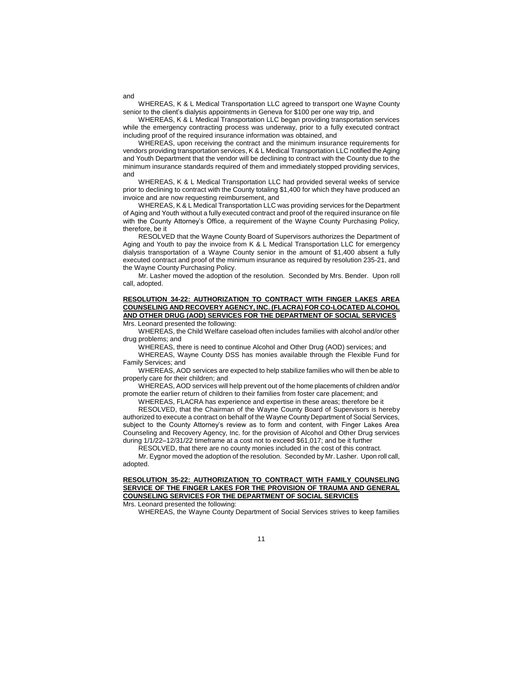WHEREAS, K & L Medical Transportation LLC agreed to transport one Wayne County senior to the client's dialysis appointments in Geneva for \$100 per one way trip, and

WHEREAS, K & L Medical Transportation LLC began providing transportation services while the emergency contracting process was underway, prior to a fully executed contract including proof of the required insurance information was obtained, and

WHEREAS, upon receiving the contract and the minimum insurance requirements for vendors providing transportation services, K & L Medical Transportation LLC notified the Aging and Youth Department that the vendor will be declining to contract with the County due to the minimum insurance standards required of them and immediately stopped providing services, and

WHEREAS, K & L Medical Transportation LLC had provided several weeks of service prior to declining to contract with the County totaling \$1,400 for which they have produced an invoice and are now requesting reimbursement, and

WHEREAS, K & L Medical Transportation LLC was providing services for the Department of Aging and Youth without a fully executed contract and proof of the required insurance on file with the County Attorney's Office, a requirement of the Wayne County Purchasing Policy, therefore, be it

RESOLVED that the Wayne County Board of Supervisors authorizes the Department of Aging and Youth to pay the invoice from K & L Medical Transportation LLC for emergency dialysis transportation of a Wayne County senior in the amount of \$1,400 absent a fully executed contract and proof of the minimum insurance as required by resolution 235-21, and the Wayne County Purchasing Policy.

Mr. Lasher moved the adoption of the resolution. Seconded by Mrs. Bender. Upon roll call, adopted.

# **RESOLUTION 34-22: AUTHORIZATION TO CONTRACT WITH FINGER LAKES AREA COUNSELING AND RECOVERY AGENCY, INC. (FLACRA) FOR CO-LOCATED ALCOHOL AND OTHER DRUG (AOD) SERVICES FOR THE DEPARTMENT OF SOCIAL SERVICES**

Mrs. Leonard presented the following:

WHEREAS, the Child Welfare caseload often includes families with alcohol and/or other drug problems; and

WHEREAS, there is need to continue Alcohol and Other Drug (AOD) services; and

WHEREAS, Wayne County DSS has monies available through the Flexible Fund for Family Services; and

WHEREAS, AOD services are expected to help stabilize families who will then be able to properly care for their children; and

WHEREAS, AOD services will help prevent out of the home placements of children and/or promote the earlier return of children to their families from foster care placement; and

WHEREAS, FLACRA has experience and expertise in these areas; therefore be it RESOLVED, that the Chairman of the Wayne County Board of Supervisors is hereby authorized to execute a contract on behalf of the Wayne County Department of Social Services, subject to the County Attorney's review as to form and content, with Finger Lakes Area Counseling and Recovery Agency, Inc. for the provision of Alcohol and Other Drug services during 1/1/22–12/31/22 timeframe at a cost not to exceed \$61,017; and be it further

RESOLVED, that there are no county monies included in the cost of this contract.

Mr. Eygnor moved the adoption of the resolution. Seconded by Mr. Lasher. Upon roll call, adopted.

# **RESOLUTION 35-22: AUTHORIZATION TO CONTRACT WITH FAMILY COUNSELING SERVICE OF THE FINGER LAKES FOR THE PROVISION OF TRAUMA AND GENERAL COUNSELING SERVICES FOR THE DEPARTMENT OF SOCIAL SERVICES**

Mrs. Leonard presented the following:

WHEREAS, the Wayne County Department of Social Services strives to keep families

11

#### and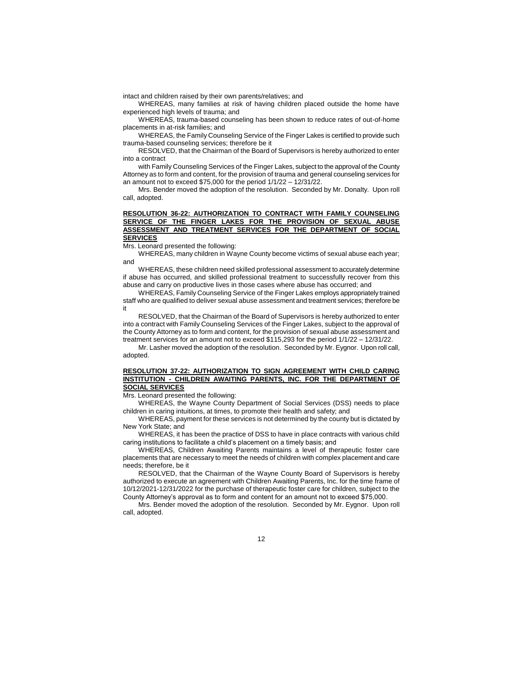intact and children raised by their own parents/relatives; and

WHEREAS, many families at risk of having children placed outside the home have experienced high levels of trauma; and

WHEREAS, trauma-based counseling has been shown to reduce rates of out-of-home placements in at-risk families; and

WHEREAS, the Family Counseling Service of the Finger Lakes is certified to provide such trauma-based counseling services; therefore be it

RESOLVED, that the Chairman of the Board of Supervisors is hereby authorized to enter into a contract

with Family Counseling Services of the Finger Lakes, subject to the approval of the County Attorney as to form and content, for the provision of trauma and general counseling services for an amount not to exceed \$75,000 for the period 1/1/22 – 12/31/22.

Mrs. Bender moved the adoption of the resolution. Seconded by Mr. Donalty. Upon roll call, adopted.

#### **RESOLUTION 36-22: AUTHORIZATION TO CONTRACT WITH FAMILY COUNSELING SERVICE OF THE FINGER LAKES FOR THE PROVISION OF SEXUAL ABUSE ASSESSMENT AND TREATMENT SERVICES FOR THE DEPARTMENT OF SOCIAL SERVICES**

Mrs. Leonard presented the following:

WHEREAS, many children in Wayne County become victims of sexual abuse each year; and

WHEREAS, these children need skilled professional assessment to accurately determine if abuse has occurred, and skilled professional treatment to successfully recover from this abuse and carry on productive lives in those cases where abuse has occurred; and

WHEREAS, Family Counseling Service of the Finger Lakes employs appropriately trained staff who are qualified to deliver sexual abuse assessment and treatment services; therefore be it

RESOLVED, that the Chairman of the Board of Supervisors is hereby authorized to enter into a contract with Family Counseling Services of the Finger Lakes, subject to the approval of the County Attorney as to form and content, for the provision of sexual abuse assessment and treatment services for an amount not to exceed \$115,293 for the period 1/1/22 – 12/31/22.

Mr. Lasher moved the adoption of the resolution. Seconded by Mr. Eygnor. Upon roll call, adopted.

# **RESOLUTION 37-22: AUTHORIZATION TO SIGN AGREEMENT WITH CHILD CARING INSTITUTION - CHILDREN AWAITING PARENTS, INC. FOR THE DEPARTMENT OF SOCIAL SERVICES**

Mrs. Leonard presented the following:

WHEREAS, the Wayne County Department of Social Services (DSS) needs to place children in caring intuitions, at times, to promote their health and safety; and

WHEREAS, payment for these services is not determined by the county but is dictated by New York State; and

WHEREAS, it has been the practice of DSS to have in place contracts with various child caring institutions to facilitate a child's placement on a timely basis; and

WHEREAS, Children Awaiting Parents maintains a level of therapeutic foster care placements that are necessary to meet the needs of children with complex placement and care needs; therefore, be it

RESOLVED, that the Chairman of the Wayne County Board of Supervisors is hereby authorized to execute an agreement with Children Awaiting Parents, Inc. for the time frame of 10/12/2021-12/31/2022 for the purchase of therapeutic foster care for children, subject to the County Attorney's approval as to form and content for an amount not to exceed \$75,000.

Mrs. Bender moved the adoption of the resolution. Seconded by Mr. Eygnor. Upon roll call, adopted.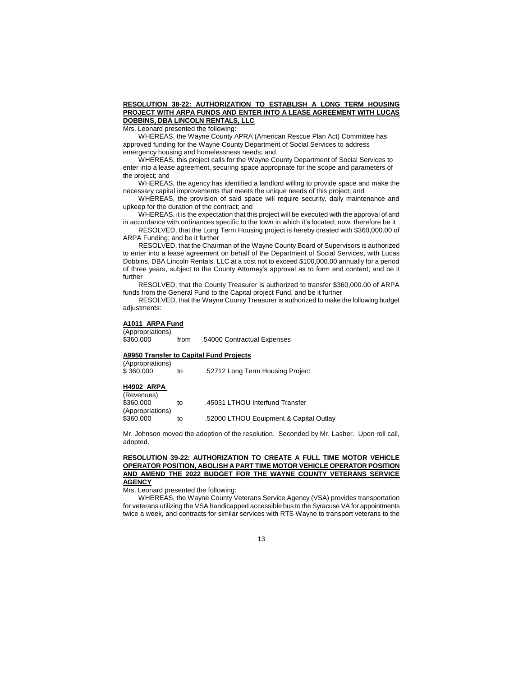## **RESOLUTION 38-22: AUTHORIZATION TO ESTABLISH A LONG TERM HOUSING PROJECT WITH ARPA FUNDS AND ENTER INTO A LEASE AGREEMENT WITH LUCAS DOBBINS, DBA LINCOLN RENTALS, LLC**

Mrs. Leonard presented the following:

WHEREAS, the Wayne County APRA (American Rescue Plan Act) Committee has approved funding for the Wayne County Department of Social Services to address emergency housing and homelessness needs; and

WHEREAS, this project calls for the Wayne County Department of Social Services to enter into a lease agreement, securing space appropriate for the scope and parameters of the project; and

WHEREAS, the agency has identified a landlord willing to provide space and make the necessary capital improvements that meets the unique needs of this project; and

WHEREAS, the provision of said space will require security, daily maintenance and upkeep for the duration of the contract; and

WHEREAS, it is the expectation that this project will be executed with the approval of and in accordance with ordinances specific to the town in which it's located; now, therefore be it

RESOLVED, that the Long Term Housing project is hereby created with \$360,000.00 of ARPA Funding; and be it further

RESOLVED, that the Chairman of the Wayne County Board of Supervisors is authorized to enter into a lease agreement on behalf of the Department of Social Services, with Lucas Dobbins, DBA Lincoln Rentals, LLC at a cost not to exceed \$100,000.00 annually for a period of three years, subject to the County Attorney's approval as to form and content; and be it further

RESOLVED, that the County Treasurer is authorized to transfer \$360,000.00 of ARPA funds from the General Fund to the Capital project Fund, and be it further

RESOLVED, that the Wayne County Treasurer is authorized to make the following budget adjustments:

## **A1011 ARPA Fund**

(Appropriations)

\$360,000 from .54000 Contractual Expenses

## **A9950 Transfer to Capital Fund Projects**

| (Appropriations) |    |                                  |
|------------------|----|----------------------------------|
| \$360,000        | to | .52712 Long Term Housing Project |

## **H4902 ARPA**

| (Revenues)<br>\$360,000       | to | .45031 LTHOU Interfund Transfer        |
|-------------------------------|----|----------------------------------------|
| (Appropriations)<br>\$360,000 | to | 52000 LTHOU Equipment & Capital Outlay |

Mr. Johnson moved the adoption of the resolution. Seconded by Mr. Lasher. Upon roll call, adopted.

### **RESOLUTION 39-22: AUTHORIZATION TO CREATE A FULL TIME MOTOR VEHICLE OPERATOR POSITION, ABOLISH A PART TIME MOTOR VEHICLE OPERATOR POSITION AND AMEND THE 2022 BUDGET FOR THE WAYNE COUNTY VETERANS SERVICE AGENCY**

Mrs. Leonard presented the following:

WHEREAS, the Wayne County Veterans Service Agency (VSA) provides transportation for veterans utilizing the VSA handicapped accessible bus to the Syracuse VA for appointments twice a week, and contracts for similar services with RTS Wayne to transport veterans to the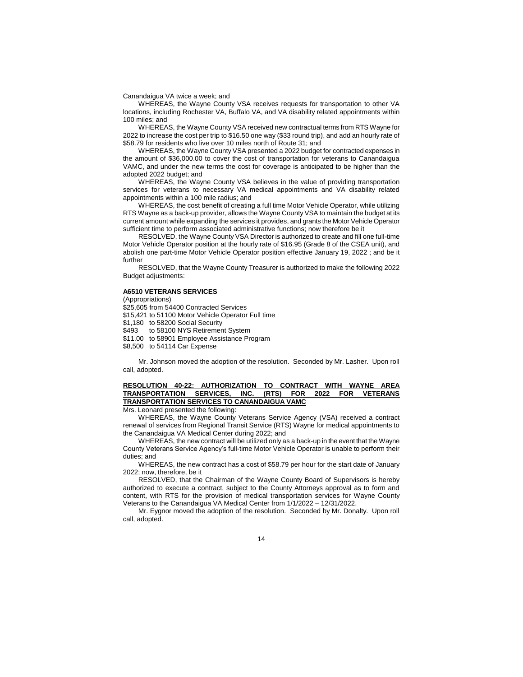Canandaigua VA twice a week; and

WHEREAS, the Wayne County VSA receives requests for transportation to other VA locations, including Rochester VA, Buffalo VA, and VA disability related appointments within 100 miles; and

WHEREAS, the Wayne County VSA received new contractual terms from RTS Wayne for 2022 to increase the cost per trip to \$16.50 one way (\$33 round trip), and add an hourly rate of \$58.79 for residents who live over 10 miles north of Route 31; and

WHEREAS, the Wayne County VSA presented a 2022 budget for contracted expenses in the amount of \$36,000.00 to cover the cost of transportation for veterans to Canandaigua VAMC, and under the new terms the cost for coverage is anticipated to be higher than the adopted 2022 budget; and

WHEREAS, the Wayne County VSA believes in the value of providing transportation services for veterans to necessary VA medical appointments and VA disability related appointments within a 100 mile radius; and

WHEREAS, the cost benefit of creating a full time Motor Vehicle Operator, while utilizing RTS Wayne as a back-up provider, allows the Wayne County VSA to maintain the budget at its current amount while expanding the services it provides, and grants the Motor Vehicle Operator sufficient time to perform associated administrative functions; now therefore be it

RESOLVED, the Wayne County VSA Director is authorized to create and fill one full-time Motor Vehicle Operator position at the hourly rate of \$16.95 (Grade 8 of the CSEA unit), and abolish one part-time Motor Vehicle Operator position effective January 19, 2022 ; and be it further

RESOLVED, that the Wayne County Treasurer is authorized to make the following 2022 Budget adjustments:

#### **A6510 VETERANS SERVICES**

(Appropriations) \$25,605 from 54400 Contracted Services \$15,421 to 51100 Motor Vehicle Operator Full time \$1,180 to 58200 Social Security \$493 to 58100 NYS Retirement System \$11.00 to 58901 Employee Assistance Program \$8,500 to 54114 Car Expense

Mr. Johnson moved the adoption of the resolution. Seconded by Mr. Lasher. Upon roll call, adopted.

#### **RESOLUTION 40-22: AUTHORIZATION TO CONTRACT WITH WAYNE AREA TRANSPORTATION SERVICES, INC. (RTS) FOR 2022 FOR VETERANS TRANSPORTATION SERVICES TO CANANDAIGUA VAMC**

Mrs. Leonard presented the following:

WHEREAS, the Wayne County Veterans Service Agency (VSA) received a contract renewal of services from Regional Transit Service (RTS) Wayne for medical appointments to the Canandaigua VA Medical Center during 2022; and

WHEREAS, the new contract will be utilized only as a back-up in the event that the Wayne County Veterans Service Agency's full-time Motor Vehicle Operator is unable to perform their duties; and

WHEREAS, the new contract has a cost of \$58.79 per hour for the start date of January 2022; now, therefore, be it

RESOLVED, that the Chairman of the Wayne County Board of Supervisors is hereby authorized to execute a contract, subject to the County Attorneys approval as to form and content, with RTS for the provision of medical transportation services for Wayne County Veterans to the Canandaigua VA Medical Center from 1/1/2022 – 12/31/2022.

Mr. Eygnor moved the adoption of the resolution. Seconded by Mr. Donalty. Upon roll call, adopted.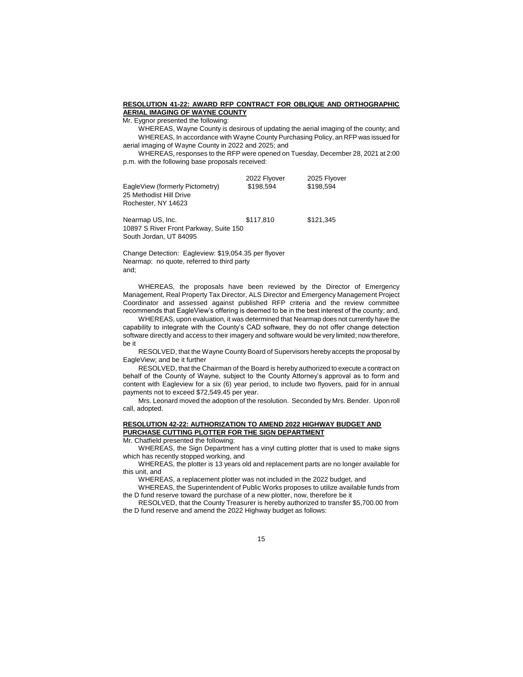## **RESOLUTION 41-22: AWARD RFP CONTRACT FOR OBLIQUE AND ORTHOGRAPHIC AERIAL IMAGING OF WAYNE COUNTY**

Mr. Eygnor presented the following:

WHEREAS, Wayne County is desirous of updating the aerial imaging of the county; and WHEREAS, In accordance with Wayne County Purchasing Policy, an RFP was issued for aerial imaging of Wayne County in 2022 and 2025; and

WHEREAS, responses to the RFP were opened on Tuesday, December 28, 2021 at 2:00 p.m. with the following base proposals received:

| EagleView (formerly Pictometry)<br>25 Methodist Hill Drive<br>Rochester, NY 14623 | 2022 Flyover<br>\$198.594 | 2025 Flyover<br>\$198.594 |
|-----------------------------------------------------------------------------------|---------------------------|---------------------------|
| Nearmap US, Inc.                                                                  | \$117,810                 | \$121,345                 |

South Jordan, UT 84095 Change Detection: Eagleview: \$19,054.35 per flyover

Nearmap: no quote, referred to third party and;

10897 S River Front Parkway, Suite 150

WHEREAS, the proposals have been reviewed by the Director of Emergency Management, Real Property Tax Director, ALS Director and Emergency Management Project Coordinator and assessed against published RFP criteria and the review committee recommends that EagleView's offering is deemed to be in the best interest of the county; and,

WHEREAS, upon evaluation, it was determined that Nearmap does not currently have the capability to integrate with the County's CAD software, they do not offer change detection software directly and access to their imagery and software would be very limited; now therefore, be it

RESOLVED, that the Wayne County Board of Supervisors hereby accepts the proposal by EagleView; and be it further

RESOLVED, that the Chairman of the Board is hereby authorized to execute a contract on behalf of the County of Wayne, subject to the County Attorney's approval as to form and content with Eagleview for a six (6) year period, to include two flyovers, paid for in annual payments not to exceed \$72,549.45 per year.

Mrs. Leonard moved the adoption of the resolution. Seconded by Mrs. Bender. Upon roll call, adopted.

## **RESOLUTION 42-22: AUTHORIZATION TO AMEND 2022 HIGHWAY BUDGET AND PURCHASE CUTTING PLOTTER FOR THE SIGN DEPARTMENT**

Mr. Chatfield presented the following:

WHEREAS, the Sign Department has a vinyl cutting plotter that is used to make signs which has recently stopped working, and

WHEREAS, the plotter is 13 years old and replacement parts are no longer available for this unit, and

WHEREAS, a replacement plotter was not included in the 2022 budget, and

WHEREAS, the Superintendent of Public Works proposes to utilize available funds from the D fund reserve toward the purchase of a new plotter, now, therefore be it

RESOLVED, that the County Treasurer is hereby authorized to transfer \$5,700.00 from the D fund reserve and amend the 2022 Highway budget as follows: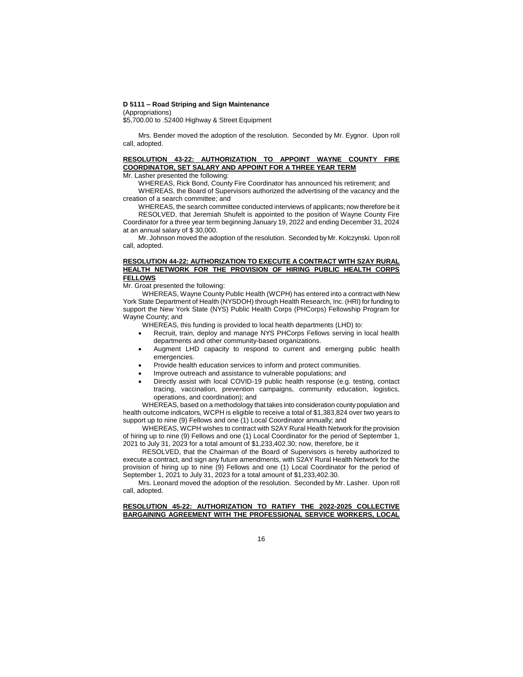## **D 5111 – Road Striping and Sign Maintenance**

(Appropriations)

\$5,700.00 to .52400 Highway & Street Equipment

Mrs. Bender moved the adoption of the resolution. Seconded by Mr. Eygnor. Upon roll call, adopted.

# **RESOLUTION 43-22: AUTHORIZATION TO APPOINT WAYNE COUNTY FIRE COORDINATOR, SET SALARY AND APPOINT FOR A THREE YEAR TERM**

Mr. Lasher presented the following:

WHEREAS, Rick Bond, County Fire Coordinator has announced his retirement; and WHEREAS, the Board of Supervisors authorized the advertising of the vacancy and the creation of a search committee; and

WHEREAS, the search committee conducted interviews of applicants; now therefore be it RESOLVED, that Jeremiah Shufelt is appointed to the position of Wayne County Fire Coordinator for a three year term beginning January 19, 2022 and ending December 31, 2024 at an annual salary of \$ 30,000.

Mr. Johnson moved the adoption of the resolution. Seconded by Mr. Kolczynski. Upon roll call, adopted.

## **RESOLUTION 44-22: AUTHORIZATION TO EXECUTE A CONTRACT WITH S2AY RURAL HEALTH NETWORK FOR THE PROVISION OF HIRING PUBLIC HEALTH CORPS FELLOWS**

Mr. Groat presented the following:

WHEREAS, Wayne County Public Health (WCPH) has entered into a contract with New York State Department of Health (NYSDOH) through Health Research, Inc. (HRI) for funding to support the New York State (NYS) Public Health Corps (PHCorps) Fellowship Program for Wayne County; and

WHEREAS, this funding is provided to local health departments (LHD) to:

- Recruit, train, deploy and manage NYS PHCorps Fellows serving in local health departments and other community-based organizations.
- Augment LHD capacity to respond to current and emerging public health emergencies.
- Provide health education services to inform and protect communities.
- Improve outreach and assistance to vulnerable populations; and
- Directly assist with local COVID-19 public health response (e.g. testing, contact tracing, vaccination, prevention campaigns, community education, logistics, operations, and coordination); and

WHEREAS, based on a methodology that takes into consideration county population and health outcome indicators, WCPH is eligible to receive a total of \$1,383,824 over two years to support up to nine (9) Fellows and one (1) Local Coordinator annually; and

WHEREAS, WCPH wishes to contract with S2AY Rural Health Network for the provision of hiring up to nine (9) Fellows and one (1) Local Coordinator for the period of September 1, 2021 to July 31, 2023 for a total amount of \$1,233,402.30; now, therefore, be it

RESOLVED, that the Chairman of the Board of Supervisors is hereby authorized to execute a contract, and sign any future amendments, with S2AY Rural Health Network for the provision of hiring up to nine (9) Fellows and one (1) Local Coordinator for the period of September 1, 2021 to July 31, 2023 for a total amount of \$1,233,402.30.

Mrs. Leonard moved the adoption of the resolution. Seconded by Mr. Lasher. Upon roll call, adopted.

## **RESOLUTION 45-22: AUTHORIZATION TO RATIFY THE 2022-2025 COLLECTIVE BARGAINING AGREEMENT WITH THE PROFESSIONAL SERVICE WORKERS, LOCAL**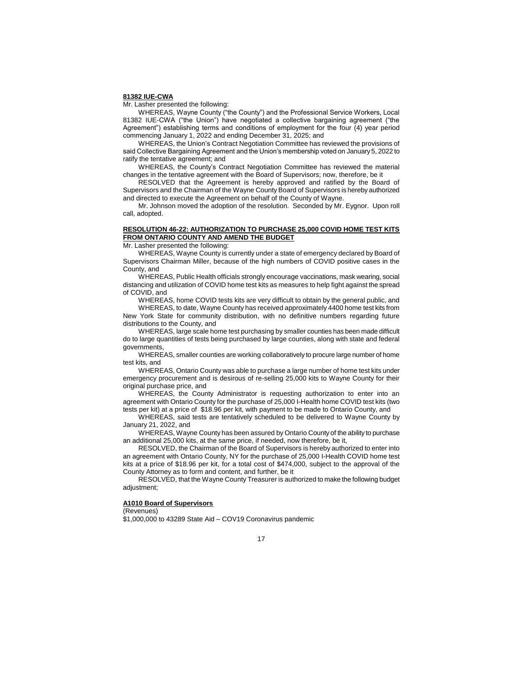#### **81382 IUE-CWA**

Mr. Lasher presented the following:

WHEREAS, Wayne County ("the County") and the Professional Service Workers, Local 81382 IUE-CWA ("the Union") have negotiated a collective bargaining agreement ("the Agreement") establishing terms and conditions of employment for the four (4) year period commencing January 1, 2022 and ending December 31, 2025; and

WHEREAS, the Union's Contract Negotiation Committee has reviewed the provisions of said Collective Bargaining Agreement and the Union's membership voted on January 5, 2022 to ratify the tentative agreement; and

WHEREAS, the County's Contract Negotiation Committee has reviewed the material changes in the tentative agreement with the Board of Supervisors; now, therefore, be it

RESOLVED that the Agreement is hereby approved and ratified by the Board of Supervisors and the Chairman of the Wayne County Board of Supervisors is hereby authorized and directed to execute the Agreement on behalf of the County of Wayne.

Mr. Johnson moved the adoption of the resolution. Seconded by Mr. Eygnor. Upon roll call, adopted.

### **RESOLUTION 46-22: AUTHORIZATION TO PURCHASE 25,000 COVID HOME TEST KITS FROM ONTARIO COUNTY AND AMEND THE BUDGET**

Mr. Lasher presented the following:

WHEREAS, Wayne County is currently under a state of emergency declared by Board of Supervisors Chairman Miller, because of the high numbers of COVID positive cases in the County, and

WHEREAS, Public Health officials strongly encourage vaccinations, mask wearing, social distancing and utilization of COVID home test kits as measures to help fight against the spread of COVID, and

WHEREAS, home COVID tests kits are very difficult to obtain by the general public, and WHEREAS, to date, Wayne County has received approximately 4400 home test kits from New York State for community distribution, with no definitive numbers regarding future distributions to the County, and

WHEREAS, large scale home test purchasing by smaller counties has been made difficult do to large quantities of tests being purchased by large counties, along with state and federal governments,

WHEREAS, smaller counties are working collaboratively to procure large number of home test kits, and

WHEREAS, Ontario County was able to purchase a large number of home test kits under emergency procurement and is desirous of re-selling 25,000 kits to Wayne County for their original purchase price, and

WHEREAS, the County Administrator is requesting authorization to enter into an agreement with Ontario County for the purchase of 25,000 I-Health home COVID test kits (two tests per kit) at a price of \$18.96 per kit, with payment to be made to Ontario County, and

WHEREAS, said tests are tentatively scheduled to be delivered to Wayne County by January 21, 2022, and

WHEREAS, Wayne County has been assured by Ontario County of the ability to purchase an additional 25,000 kits, at the same price, if needed, now therefore, be it,

RESOLVED, the Chairman of the Board of Supervisors is hereby authorized to enter into an agreement with Ontario County, NY for the purchase of 25,000 I-Health COVID home test kits at a price of \$18.96 per kit, for a total cost of \$474,000, subject to the approval of the County Attorney as to form and content, and further, be it

RESOLVED, that the Wayne County Treasurer is authorized to make the following budget adjustment;

## **A1010 Board of Supervisors**

(Revenues)

\$1,000,000 to 43289 State Aid – COV19 Coronavirus pandemic